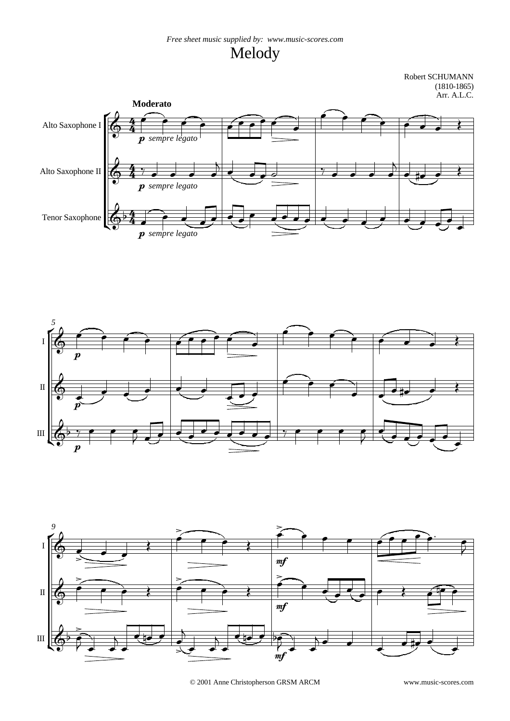## Melody

Robert SCHUMANN (1810-1865) Arr. A.L.C.







© 2001 Anne Christopherson GRSM ARCM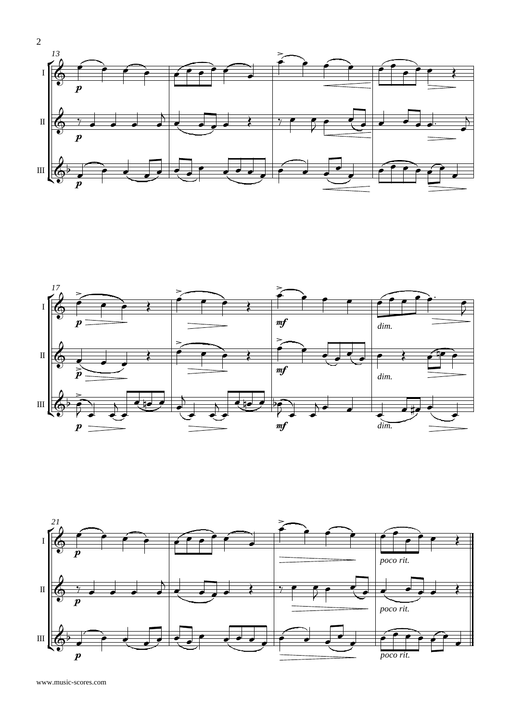





www.music-scores.com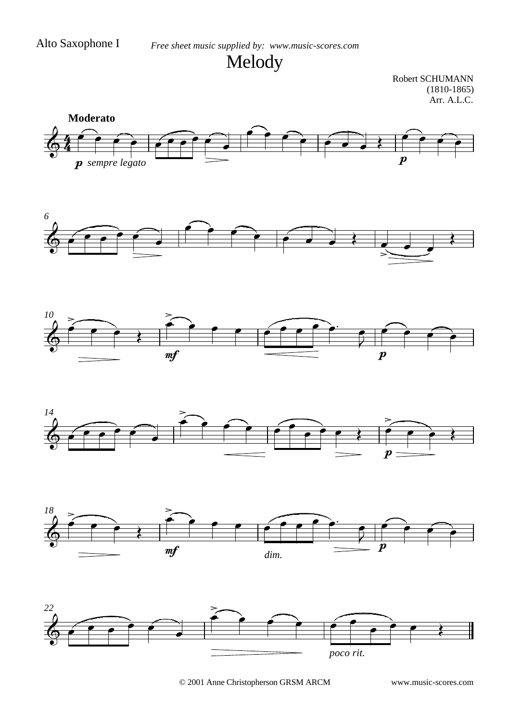

Robert SCHUMANN (1810-1865) Arr. A.L.C.











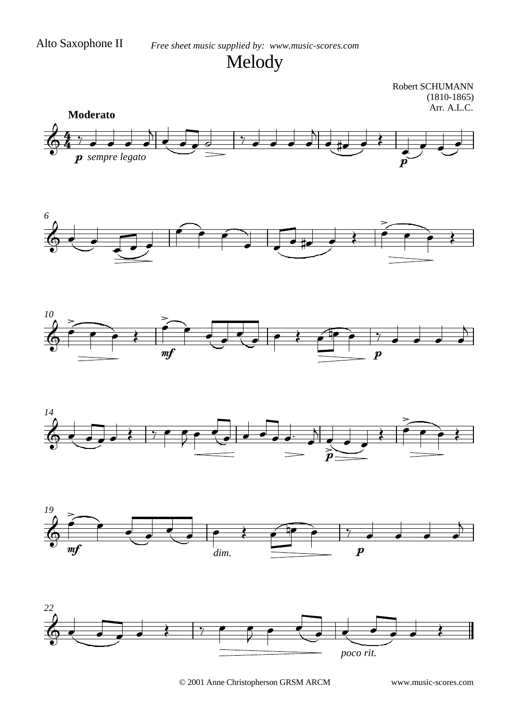